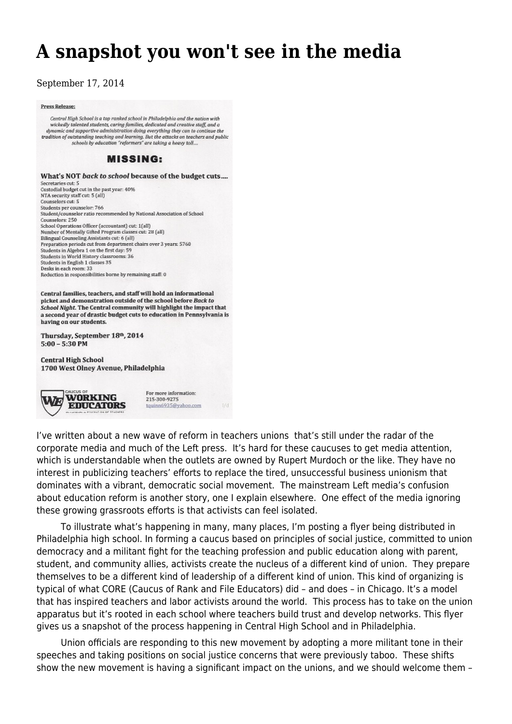## **[A snapshot you won't see in the media](https://newpol.org/snapshot-you-wont-see-media/)**

September 17, 2014

## Press Release:

Central High School is a top ranked school in Philadelphia and the nation with wickedly talented students, caring families, dedicated and creative staff, and a dynamic and supportive administration doing everything they can to continue the tradition of outstanding teaching and learning. But the attacks on teachers and public<br>schools by education "reformers" are taking a heavy toll...

## **MISSING:**

What's NOT back to school because of the budget cuts.... Secretaries cut: 5 Custodial budget cut in the past year: 40% NTA security staff cut: 5 (all) Counselors cut: 5 Students per counselor: 766 Student/counselor ratio recommended by National Association of School Counselors: 250 School Operations Officer (accountant) cut: 1(all) Number of Mentally Gifted Program classes cut: 28 (all) Bilingual Counseling Assistants cut: 6 (all)<br>Preparation periods cut from department chairs over 3 years: 5760 Students in Algebra 1 on the first day: 59 Students in World History classrooms: 36 Students in English 1 classes 35 Desks in each room: 33 Reduction in responsibilities borne by remaining staff: 0

Central families, teachers, and staff will hold an informational picket and demonstration outside of the school before Back to School Night. The Central community will highlight the impact that a second year of drastic budget cuts to education in Pennsylvania is having on our students.

Thursday, September 18th, 2014  $5:00 - 5:30$  PM

**Central High School** 1700 West Olney Avenue, Philadelphia



I've written about a [new wave of reform in teachers unions](http://newpol.orgteachers%E2%80%99-trifecta) that's still under the radar of the corporate media and much of the Left press. It's hard for these caucuses to get media attention, which is understandable when the outlets are owned by Rupert Murdoch or the like. They have no interest in publicizing teachers' efforts to replace the tired, unsuccessful business unionism that dominates with a vibrant, democratic social movement. The mainstream Left media's confusion about education reform is another story, one [I explain elsewhere.](https://www.jacobinmag.com/2013/07/the-liberal-education-reform-revolt/) One effect of the media ignoring these growing grassroots efforts is that activists can feel isolated.

 $1/d$ 

 To illustrate what's happening in many, many places, I'm posting a flyer being distributed in Philadelphia high school. In forming a caucus based on principles of social justice, committed to union democracy and a militant fight for the teaching profession and public education along with parent, student, and community allies, activists create the nucleus of a different kind of union. They prepare themselves to be a different kind of leadership of a different kind of union. This kind of organizing is typical of what CORE (Caucus of Rank and File Educators) did – and does – in Chicago. It's a model that has inspired teachers and labor activists around the world. This process has to take on the union apparatus but it's rooted in each school where teachers build trust and develop networks. This flyer gives us a snapshot of the process happening in Central High School and in Philadelphia.

 Union officials are responding to this new movement by adopting a more militant tone in their speeches and taking positions on social justice concerns that were previously taboo. These shifts show the new movement is having a significant impact on the unions, and we should welcome them –